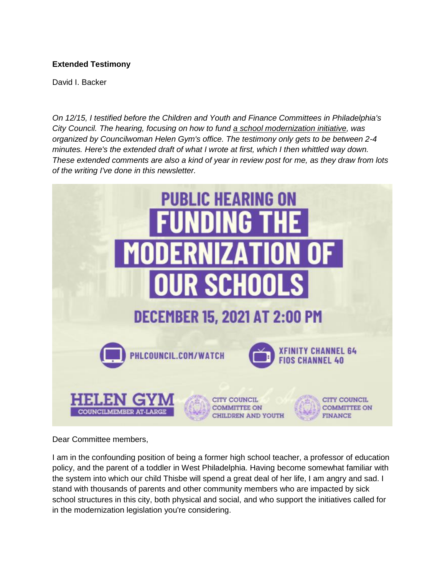## **Extended Testimony**

David I. Backer

*On 12/15, I testified before the Children and Youth and Finance Committees in Philadelphia's City Council. The hearing, focusing on how to fund [a school modernization initiative,](about:blank) was organized by Councilwoman Helen Gym's office. The testimony only gets to be between 2-4 minutes. Here's the extended draft of what I wrote at first, which I then whittled way down. These extended comments are also a kind of year in review post for me, as they draw from lots of the writing I've done in this newsletter.*



Dear Committee members,

I am in the confounding position of being a former high school teacher, a professor of education policy, and the parent of a toddler in West Philadelphia. Having become somewhat familiar with the system into which our child Thisbe will spend a great deal of her life, I am angry and sad. I stand with thousands of parents and other community members who are impacted by sick school structures in this city, both physical and social, and who support the initiatives called for in the modernization legislation you're considering.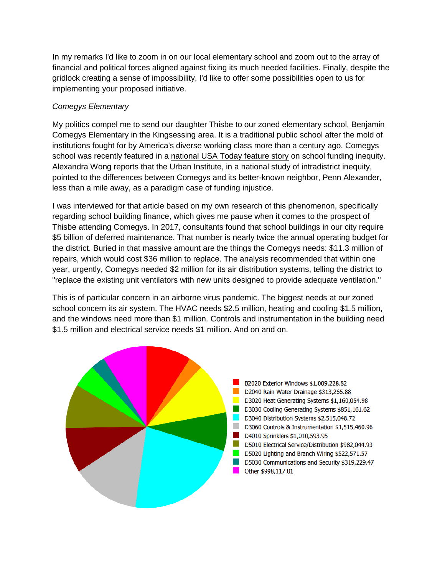In my remarks I'd like to zoom in on our local elementary school and zoom out to the array of financial and political forces aligned against fixing its much needed facilities. Finally, despite the gridlock creating a sense of impossibility, I'd like to offer some possibilities open to us for implementing your proposed initiative.

## *Comegys Elementary*

My politics compel me to send our daughter Thisbe to our zoned elementary school, Benjamin Comegys Elementary in the Kingsessing area. It is a traditional public school after the mold of institutions fought for by America's diverse working class more than a century ago. Comegys school was recently featured in a [national USA Today feature story](about:blank) on school funding inequity. Alexandra Wong reports that the Urban Institute, in a national study of intradistrict inequity, pointed to the differences between Comegys and its better-known neighbor, Penn Alexander, less than a mile away, as a paradigm case of funding injustice.

I was interviewed for that article based on my own research of this phenomenon, specifically regarding school building finance, which gives me pause when it comes to the prospect of Thisbe attending Comegys. In 2017, consultants found that school buildings in our city require \$5 billion of deferred maintenance. That number is nearly twice the annual operating budget for the district. Buried in that massive amount are [the things the Comegys needs:](about:blank) \$11.3 million of repairs, which would cost \$36 million to replace. The analysis recommended that within one year, urgently, Comegys needed \$2 million for its air distribution systems, telling the district to "replace the existing unit ventilators with new units designed to provide adequate ventilation."

This is of particular concern in an airborne virus pandemic. The biggest needs at our zoned school concern its air system. The HVAC needs \$2.5 million, heating and cooling \$1.5 million, and the windows need more than \$1 million. Controls and instrumentation in the building need \$1.5 million and electrical service needs \$1 million. And on and on.

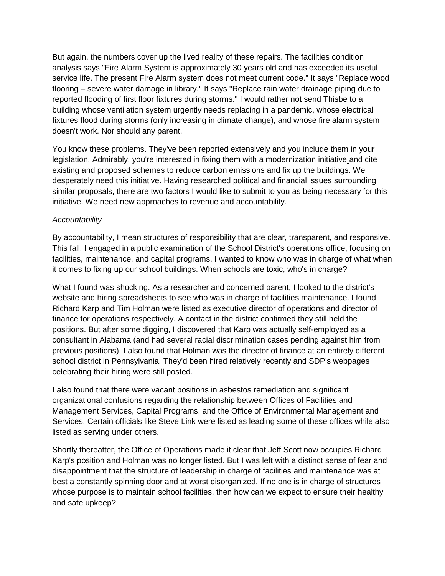But again, the numbers cover up the lived reality of these repairs. The facilities condition analysis says "Fire Alarm System is approximately 30 years old and has exceeded its useful service life. The present Fire Alarm system does not meet current code." It says "Replace wood flooring – severe water damage in library." It says "Replace rain water drainage piping due to reported flooding of first floor fixtures during storms." I would rather not send Thisbe to a building whose ventilation system urgently needs replacing in a pandemic, whose electrical fixtures flood during storms (only increasing in climate change), and whose fire alarm system doesn't work. Nor should any parent.

You know these problems. They've been reported extensively and you include them in your legislation. Admirably, you're interested in fixing them with a modernization initiativ[e](about:blank) and cite existing and proposed schemes to reduce carbon emissions and fix up the buildings. We desperately need this initiative. Having researched political and financial issues surrounding similar proposals, there are two factors I would like to submit to you as being necessary for this initiative. We need new approaches to revenue and accountability.

## *Accountability*

By accountability, I mean structures of responsibility that are clear, transparent, and responsive. This fall, I engaged in a public examination of the School District's operations office, focusing on facilities, maintenance, and capital programs. I wanted to know who was in charge of what when it comes to fixing up our school buildings. When schools are toxic, who's in charge?

What I found was [shocking.](about:blank) As a researcher and concerned parent, I looked to the district's website and hiring spreadsheets to see who was in charge of facilities maintenance. I found Richard Karp and Tim Holman were listed as executive director of operations and director of finance for operations respectively. A contact in the district confirmed they still held the positions. But after some digging, I discovered that Karp was actually self-employed as a consultant in Alabama (and had several racial discrimination cases pending against him from previous positions). I also found that Holman was the director of finance at an entirely different school district in Pennsylvania. They'd been hired relatively recently and SDP's webpages celebrating their hiring were still posted.

I also found that there were vacant positions in asbestos remediation and significant organizational confusions regarding the relationship between Offices of Facilities and Management Services, Capital Programs, and the Office of Environmental Management and Services. Certain officials like Steve Link were listed as leading some of these offices while also listed as serving under others.

Shortly thereafter, the Office of Operations made it clear that Jeff Scott now occupies Richard Karp's position and Holman was no longer listed. But I was left with a distinct sense of fear and disappointment that the structure of leadership in charge of facilities and maintenance was at best a constantly spinning door and at worst disorganized. If no one is in charge of structures whose purpose is to maintain school facilities, then how can we expect to ensure their healthy and safe upkeep?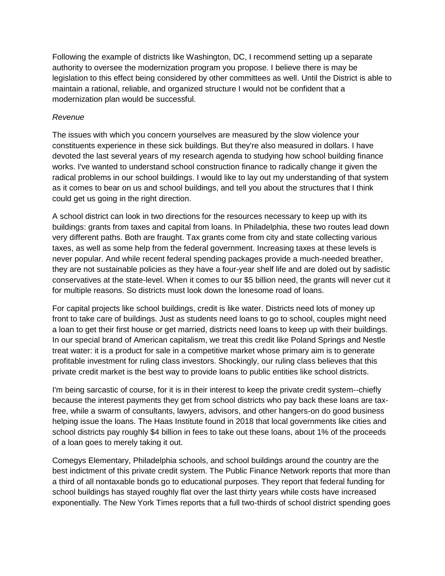Following the example of districts like Washington, DC, I recommend setting up a separate authority to oversee the modernization program you propose. I believe there is may be legislation to this effect being considered by other committees as well. Until the District is able to maintain a rational, reliable, and organized structure I would not be confident that a modernization plan would be successful.

## *Revenue*

The issues with which you concern yourselves are measured by the slow violence your constituents experience in these sick buildings. But they're also measured in dollars. I have devoted the last several years of my research agenda to studying how school building finance works. I've wanted to understand school construction finance to radically change it given the radical problems in our school buildings. I would like to lay out my understanding of that system as it comes to bear on us and school buildings, and tell you about the structures that I think could get us going in the right direction.

A school district can look in two directions for the resources necessary to keep up with its buildings: grants from taxes and capital from loans. In Philadelphia, these two routes lead down very different paths. Both are fraught. Tax grants come from city and state collecting various taxes, as well as some help from the federal government. Increasing taxes at these levels is never popular. And while recent federal spending packages provide a much-needed breather, they are not sustainable policies as they have a four-year shelf life and are doled out by sadistic conservatives at the state-level. When it comes to our \$5 billion need, the grants will never cut it for multiple reasons. So districts must look down the lonesome road of loans.

For capital projects like school buildings, credit is like water. Districts need lots of money up front to take care of buildings. Just as students need loans to go to school, couples might need a loan to get their first house or get married, districts need loans to keep up with their buildings. In our special brand of American capitalism, we treat this credit like Poland Springs and Nestle treat water: it is a product for sale in a competitive market whose primary aim is to generate profitable investment for ruling class investors. Shockingly, our ruling class believes that this private credit market is the best way to provide loans to public entities like school districts.

I'm being sarcastic of course, for it is in their interest to keep the private credit system--chiefly because the interest payments they get from school districts who pay back these loans are taxfree, while a swarm of consultants, lawyers, advisors, and other hangers-on do good business helping issue the loans. The Haas Institute found in 2018 that local governments like cities and school districts pay roughly \$4 billion in fees to take out these loans, about 1% of the proceeds of a loan goes to merely taking it out.

Comegys Elementary, Philadelphia schools, and school buildings around the country are the best indictment of this private credit system. The Public Finance Network reports that more than a third of all nontaxable bonds go to educational purposes. They report that federal funding for school buildings has stayed roughly flat over the last thirty years while costs have increased exponentially. The New York Times reports that a full two-thirds of school district spending goes